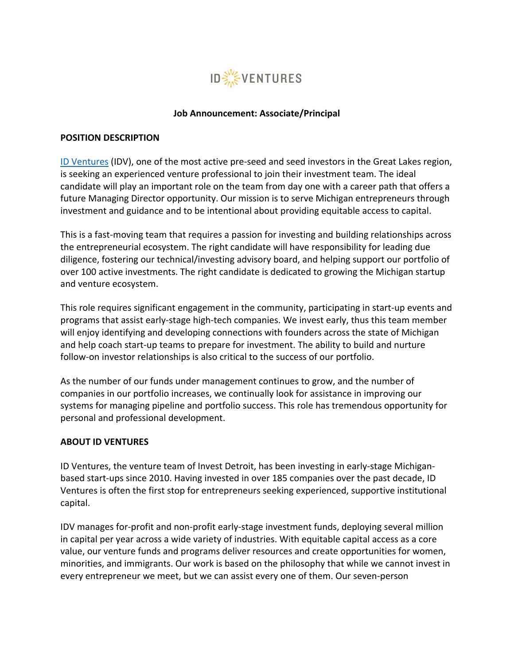

#### **Job Announcement: Associate/Principal**

#### **POSITION DESCRIPTION**

[ID Ventures](https://investdetroit.vc/) (IDV), one of the most active pre-seed and seed investors in the Great Lakes region, is seeking an experienced venture professional to join their investment team. The ideal candidate will play an important role on the team from day one with a career path that offers a future Managing Director opportunity. Our mission is to serve Michigan entrepreneurs through investment and guidance and to be intentional about providing equitable access to capital.

This is a fast-moving team that requires a passion for investing and building relationships across the entrepreneurial ecosystem. The right candidate will have responsibility for leading due diligence, fostering our technical/investing advisory board, and helping support our portfolio of over 100 active investments. The right candidate is dedicated to growing the Michigan startup and venture ecosystem.

This role requires significant engagement in the community, participating in start-up events and programs that assist early-stage high-tech companies. We invest early, thus this team member will enjoy identifying and developing connections with founders across the state of Michigan and help coach start-up teams to prepare for investment. The ability to build and nurture follow-on investor relationships is also critical to the success of our portfolio.

As the number of our funds under management continues to grow, and the number of companies in our portfolio increases, we continually look for assistance in improving our systems for managing pipeline and portfolio success. This role has tremendous opportunity for personal and professional development.

### **ABOUT ID VENTURES**

ID Ventures, the venture team of Invest Detroit, has been investing in early-stage Michiganbased start-ups since 2010. Having invested in over 185 companies over the past decade, ID Ventures is often the first stop for entrepreneurs seeking experienced, supportive institutional capital.

IDV manages for-profit and non-profit early-stage investment funds, deploying several million in capital per year across a wide variety of industries. With equitable capital access as a core value, our venture funds and programs deliver resources and create opportunities for women, minorities, and immigrants. Our work is based on the philosophy that while we cannot invest in every entrepreneur we meet, but we can assist every one of them. Our seven-person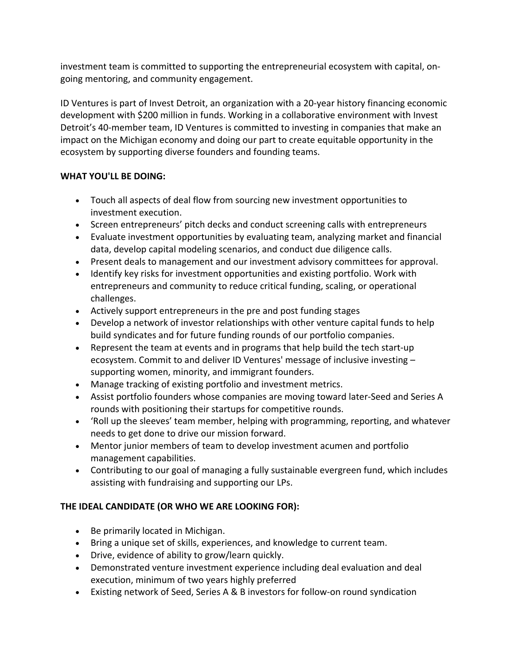investment team is committed to supporting the entrepreneurial ecosystem with capital, ongoing mentoring, and community engagement.

ID Ventures is part of Invest Detroit, an organization with a 20-year history financing economic development with \$200 million in funds. Working in a collaborative environment with Invest Detroit's 40-member team, ID Ventures is committed to investing in companies that make an impact on the Michigan economy and doing our part to create equitable opportunity in the ecosystem by supporting diverse founders and founding teams.

## **WHAT YOU'LL BE DOING:**

- Touch all aspects of deal flow from sourcing new investment opportunities to investment execution.
- Screen entrepreneurs' pitch decks and conduct screening calls with entrepreneurs
- Evaluate investment opportunities by evaluating team, analyzing market and financial data, develop capital modeling scenarios, and conduct due diligence calls.
- Present deals to management and our investment advisory committees for approval.
- Identify key risks for investment opportunities and existing portfolio. Work with entrepreneurs and community to reduce critical funding, scaling, or operational challenges.
- Actively support entrepreneurs in the pre and post funding stages
- Develop a network of investor relationships with other venture capital funds to help build syndicates and for future funding rounds of our portfolio companies.
- Represent the team at events and in programs that help build the tech start-up ecosystem. Commit to and deliver ID Ventures' message of inclusive investing – supporting women, minority, and immigrant founders.
- Manage tracking of existing portfolio and investment metrics.
- Assist portfolio founders whose companies are moving toward later-Seed and Series A rounds with positioning their startups for competitive rounds.
- 'Roll up the sleeves' team member, helping with programming, reporting, and whatever needs to get done to drive our mission forward.
- Mentor junior members of team to develop investment acumen and portfolio management capabilities.
- Contributing to our goal of managing a fully sustainable evergreen fund, which includes assisting with fundraising and supporting our LPs.

# **THE IDEAL CANDIDATE (OR WHO WE ARE LOOKING FOR):**

- Be primarily located in Michigan.
- Bring a unique set of skills, experiences, and knowledge to current team.
- Drive, evidence of ability to grow/learn quickly.
- Demonstrated venture investment experience including deal evaluation and deal execution, minimum of two years highly preferred
- Existing network of Seed, Series A & B investors for follow-on round syndication